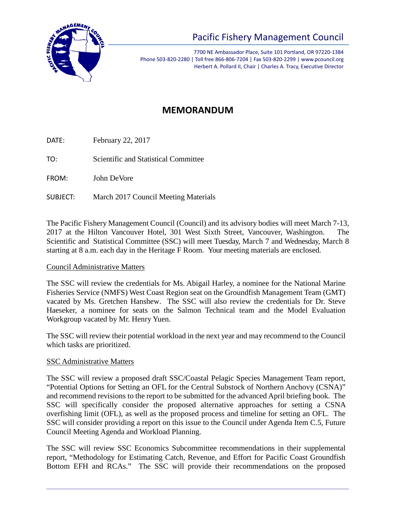

# Pacific Fishery Management Council

7700 NE Ambassador Place, Suite 101 Portland, OR 97220-1384 Phone 503-820-2280 | Toll free 866-806-7204 | Fax 503-820-2299 | www.pcouncil.org Herbert A. Pollard II, Chair | Charles A. Tracy, Executive Director

# **MEMORANDUM**

DATE: February 22, 2017

TO: Scientific and Statistical Committee

FROM: John DeVore

SUBJECT: March 2017 Council Meeting Materials

The Pacific Fishery Management Council (Council) and its advisory bodies will meet March 7-13, 2017 at the Hilton Vancouver Hotel, 301 West Sixth Street, Vancouver, Washington. The Scientific and Statistical Committee (SSC) will meet Tuesday, March 7 and Wednesday, March 8 starting at 8 a.m. each day in the Heritage F Room. Your meeting materials are enclosed.

#### Council Administrative Matters

The SSC will review the credentials for Ms. Abigail Harley, a nominee for the National Marine Fisheries Service (NMFS) West Coast Region seat on the Groundfish Management Team (GMT) vacated by Ms. Gretchen Hanshew. The SSC will also review the credentials for Dr. Steve Haeseker, a nominee for seats on the Salmon Technical team and the Model Evaluation Workgroup vacated by Mr. Henry Yuen.

The SSC will review their potential workload in the next year and may recommend to the Council which tasks are prioritized.

#### SSC Administrative Matters

The SSC will review a proposed draft SSC/Coastal Pelagic Species Management Team report, "Potential Options for Setting an OFL for the Central Substock of Northern Anchovy (CSNA)" and recommend revisions to the report to be submitted for the advanced April briefing book. The SSC will specifically consider the proposed alternative approaches for setting a CSNA overfishing limit (OFL), as well as the proposed process and timeline for setting an OFL. The SSC will consider providing a report on this issue to the Council under Agenda Item C.5, Future Council Meeting Agenda and Workload Planning.

The SSC will review SSC Economics Subcommittee recommendations in their supplemental report, "Methodology for Estimating Catch, Revenue, and Effort for Pacific Coast Groundfish Bottom EFH and RCAs." The SSC will provide their recommendations on the proposed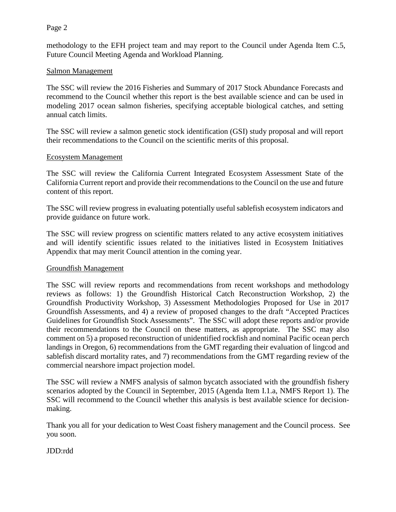#### Page 2

methodology to the EFH project team and may report to the Council under Agenda Item C.5, Future Council Meeting Agenda and Workload Planning.

#### Salmon Management

The SSC will review the 2016 Fisheries and Summary of 2017 Stock Abundance Forecasts and recommend to the Council whether this report is the best available science and can be used in modeling 2017 ocean salmon fisheries, specifying acceptable biological catches, and setting annual catch limits.

The SSC will review a salmon genetic stock identification (GSI) study proposal and will report their recommendations to the Council on the scientific merits of this proposal.

#### Ecosystem Management

The SSC will review the California Current Integrated Ecosystem Assessment State of the California Current report and provide their recommendations to the Council on the use and future content of this report.

The SSC will review progress in evaluating potentially useful sablefish ecosystem indicators and provide guidance on future work.

The SSC will review progress on scientific matters related to any active ecosystem initiatives and will identify scientific issues related to the initiatives listed in Ecosystem Initiatives Appendix that may merit Council attention in the coming year.

#### Groundfish Management

The SSC will review reports and recommendations from recent workshops and methodology reviews as follows: 1) the Groundfish Historical Catch Reconstruction Workshop, 2) the Groundfish Productivity Workshop, 3) Assessment Methodologies Proposed for Use in 2017 Groundfish Assessments, and 4) a review of proposed changes to the draft "Accepted Practices Guidelines for Groundfish Stock Assessments". The SSC will adopt these reports and/or provide their recommendations to the Council on these matters, as appropriate. The SSC may also comment on 5) a proposed reconstruction of unidentified rockfish and nominal Pacific ocean perch landings in Oregon, 6) recommendations from the GMT regarding their evaluation of lingcod and sablefish discard mortality rates, and 7) recommendations from the GMT regarding review of the commercial nearshore impact projection model.

The SSC will review a NMFS analysis of salmon bycatch associated with the groundfish fishery scenarios adopted by the Council in September, 2015 (Agenda Item I.1.a, NMFS Report 1). The SSC will recommend to the Council whether this analysis is best available science for decisionmaking.

Thank you all for your dedication to West Coast fishery management and the Council process. See you soon.

#### JDD:rdd